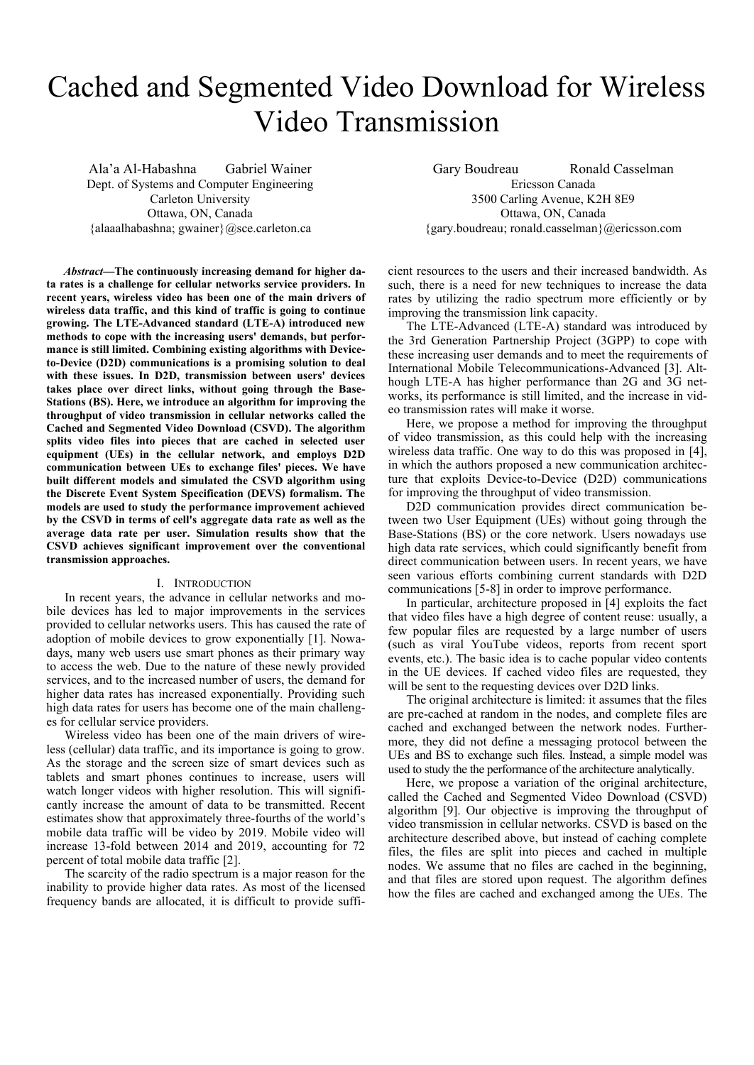# Cached and Segmented Video Download for Wireless Video Transmission

Ala'a Al-Habashna Gabriel Wainer Dept. of Systems and Computer Engineering Carleton University Ottawa, ON, Canada {alaaalhabashna; gwainer}@sce.carleton.ca

*Abstract***—The continuously increasing demand for higher data rates is a challenge for cellular networks service providers. In recent years, wireless video has been one of the main drivers of wireless data traffic, and this kind of traffic is going to continue growing. The LTE-Advanced standard (LTE-A) introduced new methods to cope with the increasing users' demands, but performance is still limited. Combining existing algorithms with Deviceto-Device (D2D) communications is a promising solution to deal with these issues. In D2D, transmission between users' devices takes place over direct links, without going through the Base-Stations (BS). Here, we introduce an algorithm for improving the throughput of video transmission in cellular networks called the Cached and Segmented Video Download (CSVD). The algorithm splits video files into pieces that are cached in selected user equipment (UEs) in the cellular network, and employs D2D communication between UEs to exchange files' pieces. We have built different models and simulated the CSVD algorithm using the Discrete Event System Specification (DEVS) formalism. The models are used to study the performance improvement achieved by the CSVD in terms of cell's aggregate data rate as well as the average data rate per user. Simulation results show that the CSVD achieves significant improvement over the conventional transmission approaches.**

## I. INTRODUCTION

In recent years, the advance in cellular networks and mobile devices has led to major improvements in the services provided to cellular networks users. This has caused the rate of adoption of mobile devices to grow exponentially [1]. Nowadays, many web users use smart phones as their primary way to access the web. Due to the nature of these newly provided services, and to the increased number of users, the demand for higher data rates has increased exponentially. Providing such high data rates for users has become one of the main challenges for cellular service providers.

Wireless video has been one of the main drivers of wireless (cellular) data traffic, and its importance is going to grow. As the storage and the screen size of smart devices such as tablets and smart phones continues to increase, users will watch longer videos with higher resolution. This will significantly increase the amount of data to be transmitted. Recent estimates show that approximately three-fourths of the world's mobile data traffic will be video by 2019. Mobile video will increase 13-fold between 2014 and 2019, accounting for 72 percent of total mobile data traffic [2].

The scarcity of the radio spectrum is a major reason for the inability to provide higher data rates. As most of the licensed frequency bands are allocated, it is difficult to provide suffi-

Gary Boudreau Ronald Casselman Ericsson Canada 3500 Carling Avenue, K2H 8E9 Ottawa, ON, Canada {gary.boudreau; ronald.casselman}@ericsson.com

cient resources to the users and their increased bandwidth. As such, there is a need for new techniques to increase the data rates by utilizing the radio spectrum more efficiently or by improving the transmission link capacity.

The LTE-Advanced (LTE-A) standard was introduced by the 3rd Generation Partnership Project (3GPP) to cope with these increasing user demands and to meet the requirements of International Mobile Telecommunications-Advanced [3]. Although LTE-A has higher performance than 2G and 3G networks, its performance is still limited, and the increase in video transmission rates will make it worse.

Here, we propose a method for improving the throughput of video transmission, as this could help with the increasing wireless data traffic. One way to do this was proposed in [4], in which the authors proposed a new communication architecture that exploits Device-to-Device (D2D) communications for improving the throughput of video transmission.

D2D communication provides direct communication between two User Equipment (UEs) without going through the Base-Stations (BS) or the core network. Users nowadays use high data rate services, which could significantly benefit from direct communication between users. In recent years, we have seen various efforts combining current standards with D2D communications [5-8] in order to improve performance.

In particular, architecture proposed in [4] exploits the fact that video files have a high degree of content reuse: usually, a few popular files are requested by a large number of users (such as viral YouTube videos, reports from recent sport events, etc.). The basic idea is to cache popular video contents in the UE devices. If cached video files are requested, they will be sent to the requesting devices over D2D links.

The original architecture is limited: it assumes that the files are pre-cached at random in the nodes, and complete files are cached and exchanged between the network nodes. Furthermore, they did not define a messaging protocol between the UEs and BS to exchange such files. Instead, a simple model was used to study the the performance of the architecture analytically.

Here, we propose a variation of the original architecture, called the Cached and Segmented Video Download (CSVD) algorithm [9]. Our objective is improving the throughput of video transmission in cellular networks. CSVD is based on the architecture described above, but instead of caching complete files, the files are split into pieces and cached in multiple nodes. We assume that no files are cached in the beginning, and that files are stored upon request. The algorithm defines how the files are cached and exchanged among the UEs. The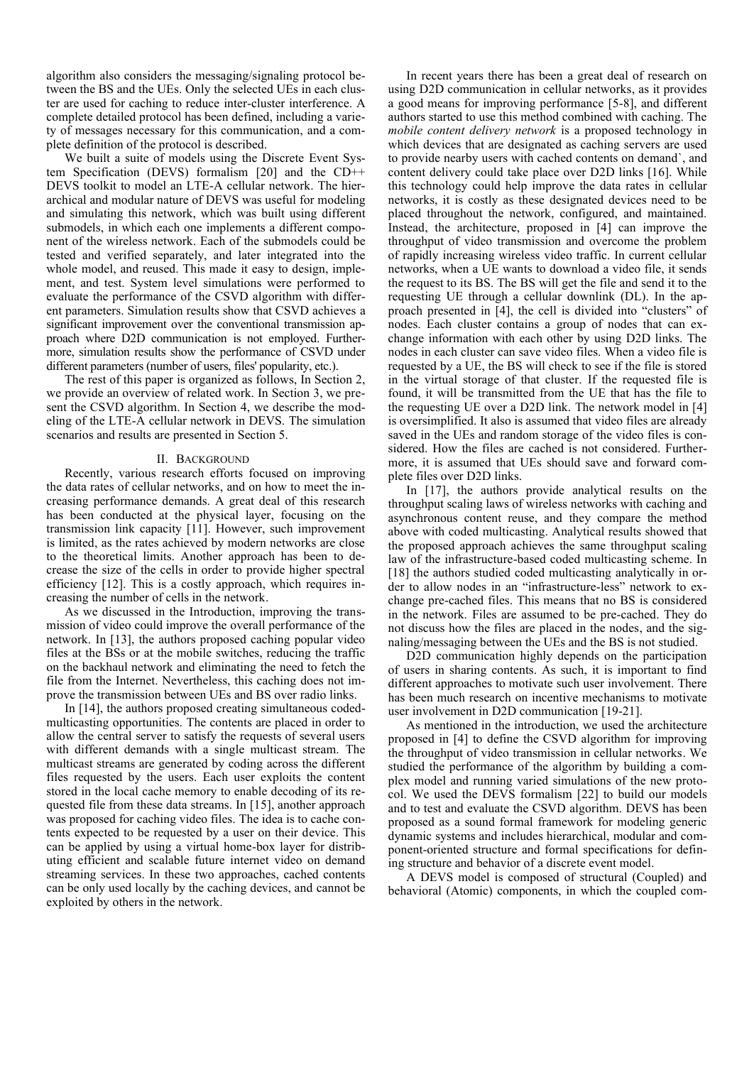algorithm also considers the messaging/signaling protocol between the BS and the UEs. Only the selected UEs in each cluster are used for caching to reduce inter-cluster interference. A complete detailed protocol has been defined, including a variety of messages necessary for this communication, and a complete definition of the protocol is described.

We built a suite of models using the Discrete Event System Specification (DEVS) formalism [20] and the CD++ DEVS toolkit to model an LTE-A cellular network. The hierarchical and modular nature of DEVS was useful for modeling and simulating this network, which was built using different submodels, in which each one implements a different component of the wireless network. Each of the submodels could be tested and verified separately, and later integrated into the whole model, and reused. This made it easy to design, implement, and test. System level simulations were performed to evaluate the performance of the CSVD algorithm with different parameters. Simulation results show that CSVD achieves a significant improvement over the conventional transmission approach where D2D communication is not employed. Furthermore, simulation results show the performance of CSVD under different parameters (number of users, files' popularity, etc.).

The rest of this paper is organized as follows, In Section 2, we provide an overview of related work. In Section 3, we present the CSVD algorithm. In Section 4, we describe the modeling of the LTE-A cellular network in DEVS. The simulation scenarios and results are presented in Section 5.

#### II. BACKGROUND

Recently, various research efforts focused on improving the data rates of cellular networks, and on how to meet the increasing performance demands. A great deal of this research has been conducted at the physical layer, focusing on the transmission link capacity [11]. However, such improvement is limited, as the rates achieved by modern networks are close to the theoretical limits. Another approach has been to decrease the size of the cells in order to provide higher spectral efficiency [12]. This is a costly approach, which requires increasing the number of cells in the network.

As we discussed in the Introduction, improving the transmission of video could improve the overall performance of the network. In [13], the authors proposed caching popular video files at the BSs or at the mobile switches, reducing the traffic on the backhaul network and eliminating the need to fetch the file from the Internet. Nevertheless, this caching does not improve the transmission between UEs and BS over radio links.

In [14], the authors proposed creating simultaneous codedmulticasting opportunities. The contents are placed in order to allow the central server to satisfy the requests of several users with different demands with a single multicast stream. The multicast streams are generated by coding across the different files requested by the users. Each user exploits the content stored in the local cache memory to enable decoding of its requested file from these data streams. In [15], another approach was proposed for caching video files. The idea is to cache contents expected to be requested by a user on their device. This can be applied by using a virtual home-box layer for distributing efficient and scalable future internet video on demand streaming services. In these two approaches, cached contents can be only used locally by the caching devices, and cannot be exploited by others in the network.

In recent years there has been a great deal of research on using D2D communication in cellular networks, as it provides a good means for improving performance [5-8], and different authors started to use this method combined with caching. The *mobile content delivery network* is a proposed technology in which devices that are designated as caching servers are used to provide nearby users with cached contents on demand`, and content delivery could take place over D2D links [16]. While this technology could help improve the data rates in cellular networks, it is costly as these designated devices need to be placed throughout the network, configured, and maintained. Instead, the architecture, proposed in [4] can improve the throughput of video transmission and overcome the problem of rapidly increasing wireless video traffic. In current cellular networks, when a UE wants to download a video file, it sends the request to its BS. The BS will get the file and send it to the requesting UE through a cellular downlink (DL). In the approach presented in [4], the cell is divided into "clusters" of nodes. Each cluster contains a group of nodes that can exchange information with each other by using D2D links. The nodes in each cluster can save video files. When a video file is requested by a UE, the BS will check to see if the file is stored in the virtual storage of that cluster. If the requested file is found, it will be transmitted from the UE that has the file to the requesting UE over a D2D link. The network model in [4] is oversimplified. It also is assumed that video files are already saved in the UEs and random storage of the video files is considered. How the files are cached is not considered. Furthermore, it is assumed that UEs should save and forward complete files over D2D links.

In [17], the authors provide analytical results on the throughput scaling laws of wireless networks with caching and asynchronous content reuse, and they compare the method above with coded multicasting. Analytical results showed that the proposed approach achieves the same throughput scaling law of the infrastructure-based coded multicasting scheme. In [18] the authors studied coded multicasting analytically in order to allow nodes in an "infrastructure-less" network to exchange pre-cached files. This means that no BS is considered in the network. Files are assumed to be pre-cached. They do not discuss how the files are placed in the nodes, and the signaling/messaging between the UEs and the BS is not studied.

D2D communication highly depends on the participation of users in sharing contents. As such, it is important to find different approaches to motivate such user involvement. There has been much research on incentive mechanisms to motivate user involvement in D2D communication [19-21].

As mentioned in the introduction, we used the architecture proposed in [4] to define the CSVD algorithm for improving the throughput of video transmission in cellular networks. We studied the performance of the algorithm by building a complex model and running varied simulations of the new protocol. We used the DEVS formalism [22] to build our models and to test and evaluate the CSVD algorithm. DEVS has been proposed as a sound formal framework for modeling generic dynamic systems and includes hierarchical, modular and component-oriented structure and formal specifications for defining structure and behavior of a discrete event model.

A DEVS model is composed of structural (Coupled) and behavioral (Atomic) components, in which the coupled com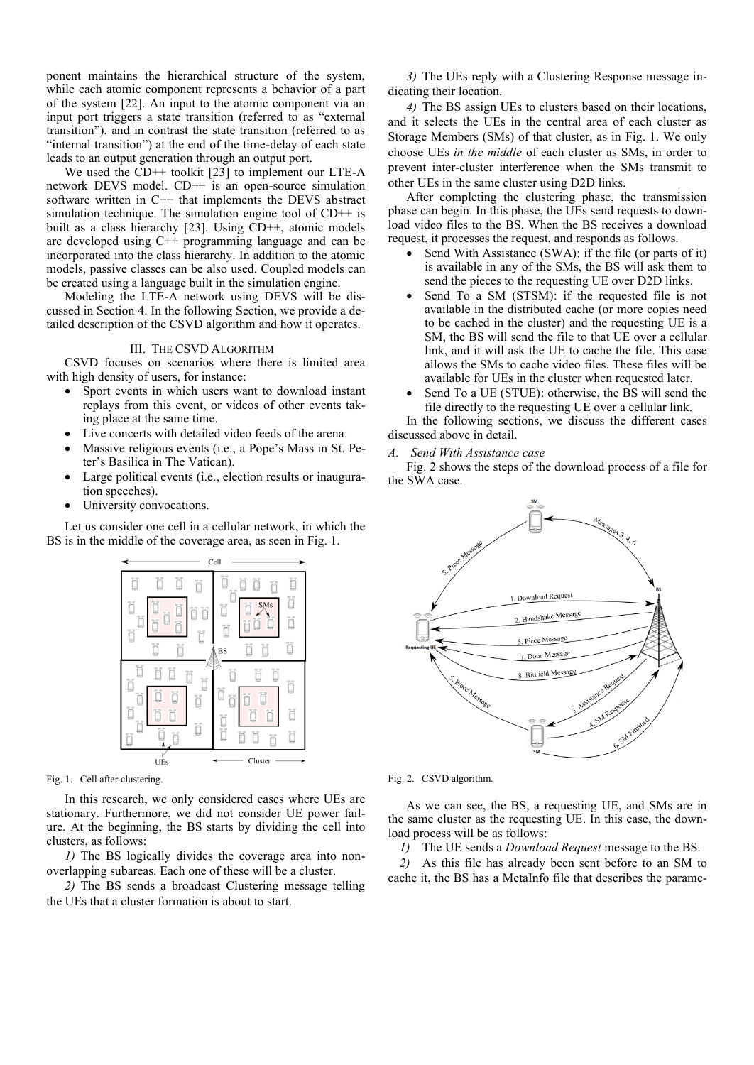ponent maintains the hierarchical structure of the system, while each atomic component represents a behavior of a part of the system [22]. An input to the atomic component via an input port triggers a state transition (referred to as "external transition"), and in contrast the state transition (referred to as "internal transition") at the end of the time-delay of each state leads to an output generation through an output port.

We used the CD<sup>++</sup> toolkit [23] to implement our LTE-A network DEVS model. CD++ is an open-source simulation software written in C++ that implements the DEVS abstract simulation technique. The simulation engine tool of CD++ is built as a class hierarchy [23]. Using CD++, atomic models are developed using C++ programming language and can be incorporated into the class hierarchy. In addition to the atomic models, passive classes can be also used. Coupled models can be created using a language built in the simulation engine.

Modeling the LTE-A network using DEVS will be discussed in Section 4. In the following Section, we provide a detailed description of the CSVD algorithm and how it operates.

## III. THE CSVD ALGORITHM

CSVD focuses on scenarios where there is limited area with high density of users, for instance:

- Sport events in which users want to download instant replays from this event, or videos of other events taking place at the same time.
- Live concerts with detailed video feeds of the arena.
- Massive religious events (i.e., a Pope's Mass in St. Peter's Basilica in The Vatican).
- Large political events (i.e., election results or inauguration speeches).
- University convocations.

Let us consider one cell in a cellular network, in which the BS is in the middle of the coverage area, as seen in Fig. 1.



Fig. 1. Cell after clustering.

In this research, we only considered cases where UEs are stationary. Furthermore, we did not consider UE power failure. At the beginning, the BS starts by dividing the cell into clusters, as follows:

*1)* The BS logically divides the coverage area into nonoverlapping subareas. Each one of these will be a cluster.

*2)* The BS sends a broadcast Clustering message telling the UEs that a cluster formation is about to start.

*3)* The UEs reply with a Clustering Response message indicating their location.

*4)* The BS assign UEs to clusters based on their locations, and it selects the UEs in the central area of each cluster as Storage Members (SMs) of that cluster, as in Fig. 1. We only choose UEs *in the middle* of each cluster as SMs, in order to prevent inter-cluster interference when the SMs transmit to other UEs in the same cluster using D2D links.

After completing the clustering phase, the transmission phase can begin. In this phase, the UEs send requests to download video files to the BS. When the BS receives a download request, it processes the request, and responds as follows.

- Send With Assistance (SWA): if the file (or parts of it) is available in any of the SMs, the BS will ask them to send the pieces to the requesting UE over D2D links.
- Send To a SM (STSM): if the requested file is not available in the distributed cache (or more copies need to be cached in the cluster) and the requesting UE is a SM, the BS will send the file to that UE over a cellular link, and it will ask the UE to cache the file. This case allows the SMs to cache video files. These files will be available for UEs in the cluster when requested later.
- Send To a UE (STUE): otherwise, the BS will send the file directly to the requesting UE over a cellular link.

In the following sections, we discuss the different cases discussed above in detail.

*A. Send With Assistance case*

Fig. 2 shows the steps of the download process of a file for the SWA case.



Fig. 2. CSVD algorithm.

As we can see, the BS, a requesting UE, and SMs are in the same cluster as the requesting UE. In this case, the download process will be as follows:

*1)* The UE sends a *Download Request* message to the BS.

*2)* As this file has already been sent before to an SM to cache it, the BS has a MetaInfo file that describes the parame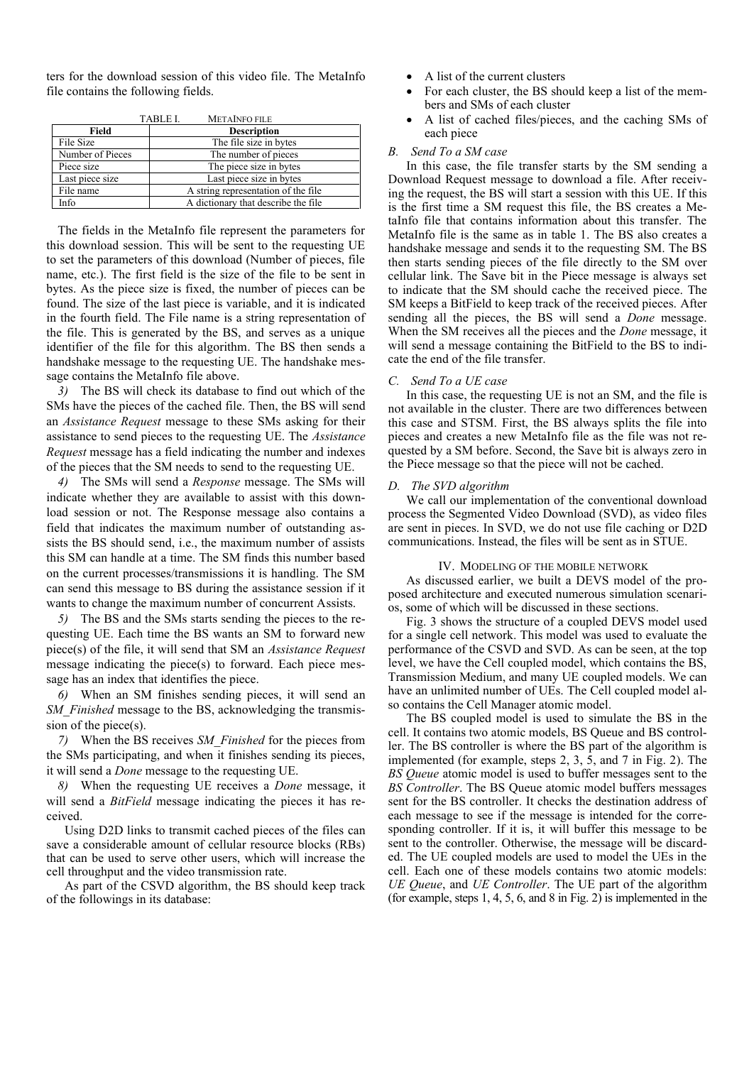ters for the download session of this video file. The MetaInfo file contains the following fields.

|                  | TABLE I.<br><b>METAINFO FILE</b>    |                                      |
|------------------|-------------------------------------|--------------------------------------|
| Field            | <b>Description</b>                  |                                      |
| File Size        |                                     | The file size in bytes               |
| Number of Pieces |                                     | The number of pieces                 |
| Piece size       |                                     | The piece size in bytes              |
| Last piece size  |                                     | Last piece size in bytes             |
| File name        |                                     | A string representation of the file. |
| Info             | A dictionary that describe the file |                                      |

TABLE I. METAINFO FILE

The fields in the MetaInfo file represent the parameters for this download session. This will be sent to the requesting UE to set the parameters of this download (Number of pieces, file name, etc.). The first field is the size of the file to be sent in bytes. As the piece size is fixed, the number of pieces can be found. The size of the last piece is variable, and it is indicated in the fourth field. The File name is a string representation of the file. This is generated by the BS, and serves as a unique identifier of the file for this algorithm. The BS then sends a handshake message to the requesting UE. The handshake message contains the MetaInfo file above.

*3)* The BS will check its database to find out which of the SMs have the pieces of the cached file. Then, the BS will send an *Assistance Request* message to these SMs asking for their assistance to send pieces to the requesting UE. The *Assistance Request* message has a field indicating the number and indexes of the pieces that the SM needs to send to the requesting UE.

*4)* The SMs will send a *Response* message. The SMs will indicate whether they are available to assist with this download session or not. The Response message also contains a field that indicates the maximum number of outstanding assists the BS should send, i.e., the maximum number of assists this SM can handle at a time. The SM finds this number based on the current processes/transmissions it is handling. The SM can send this message to BS during the assistance session if it wants to change the maximum number of concurrent Assists.

*5)* The BS and the SMs starts sending the pieces to the requesting UE. Each time the BS wants an SM to forward new piece(s) of the file, it will send that SM an *Assistance Request* message indicating the piece(s) to forward. Each piece message has an index that identifies the piece.

*6)* When an SM finishes sending pieces, it will send an *SM\_Finished* message to the BS, acknowledging the transmission of the piece(s).

*7)* When the BS receives *SM\_Finished* for the pieces from the SMs participating, and when it finishes sending its pieces, it will send a *Done* message to the requesting UE.

*8)* When the requesting UE receives a *Done* message, it will send a *BitField* message indicating the pieces it has received.

Using D2D links to transmit cached pieces of the files can save a considerable amount of cellular resource blocks (RBs) that can be used to serve other users, which will increase the cell throughput and the video transmission rate.

As part of the CSVD algorithm, the BS should keep track of the followings in its database:

- A list of the current clusters
- For each cluster, the BS should keep a list of the members and SMs of each cluster
- A list of cached files/pieces, and the caching SMs of each piece

## *B. Send To a SM case*

In this case, the file transfer starts by the SM sending a Download Request message to download a file. After receiving the request, the BS will start a session with this UE. If this is the first time a SM request this file, the BS creates a MetaInfo file that contains information about this transfer. The MetaInfo file is the same as in table 1. The BS also creates a handshake message and sends it to the requesting SM. The BS then starts sending pieces of the file directly to the SM over cellular link. The Save bit in the Piece message is always set to indicate that the SM should cache the received piece. The SM keeps a BitField to keep track of the received pieces. After sending all the pieces, the BS will send a *Done* message. When the SM receives all the pieces and the *Done* message, it will send a message containing the BitField to the BS to indicate the end of the file transfer.

## *C. Send To a UE case*

In this case, the requesting UE is not an SM, and the file is not available in the cluster. There are two differences between this case and STSM. First, the BS always splits the file into pieces and creates a new MetaInfo file as the file was not requested by a SM before. Second, the Save bit is always zero in the Piece message so that the piece will not be cached.

### *D. The SVD algorithm*

We call our implementation of the conventional download process the Segmented Video Download (SVD), as video files are sent in pieces. In SVD, we do not use file caching or D2D communications. Instead, the files will be sent as in STUE.

#### IV. MODELING OF THE MOBILE NETWORK

As discussed earlier, we built a DEVS model of the proposed architecture and executed numerous simulation scenarios, some of which will be discussed in these sections.

Fig. 3 shows the structure of a coupled DEVS model used for a single cell network. This model was used to evaluate the performance of the CSVD and SVD. As can be seen, at the top level, we have the Cell coupled model, which contains the BS, Transmission Medium, and many UE coupled models. We can have an unlimited number of UEs. The Cell coupled model also contains the Cell Manager atomic model.

The BS coupled model is used to simulate the BS in the cell. It contains two atomic models, BS Queue and BS controller. The BS controller is where the BS part of the algorithm is implemented (for example, steps 2, 3, 5, and 7 in Fig. 2). The *BS Queue* atomic model is used to buffer messages sent to the *BS Controller*. The BS Queue atomic model buffers messages sent for the BS controller. It checks the destination address of each message to see if the message is intended for the corresponding controller. If it is, it will buffer this message to be sent to the controller. Otherwise, the message will be discarded. The UE coupled models are used to model the UEs in the cell. Each one of these models contains two atomic models: *UE Queue*, and *UE Controller*. The UE part of the algorithm (for example, steps 1, 4, 5, 6, and 8 in Fig. 2) is implemented in the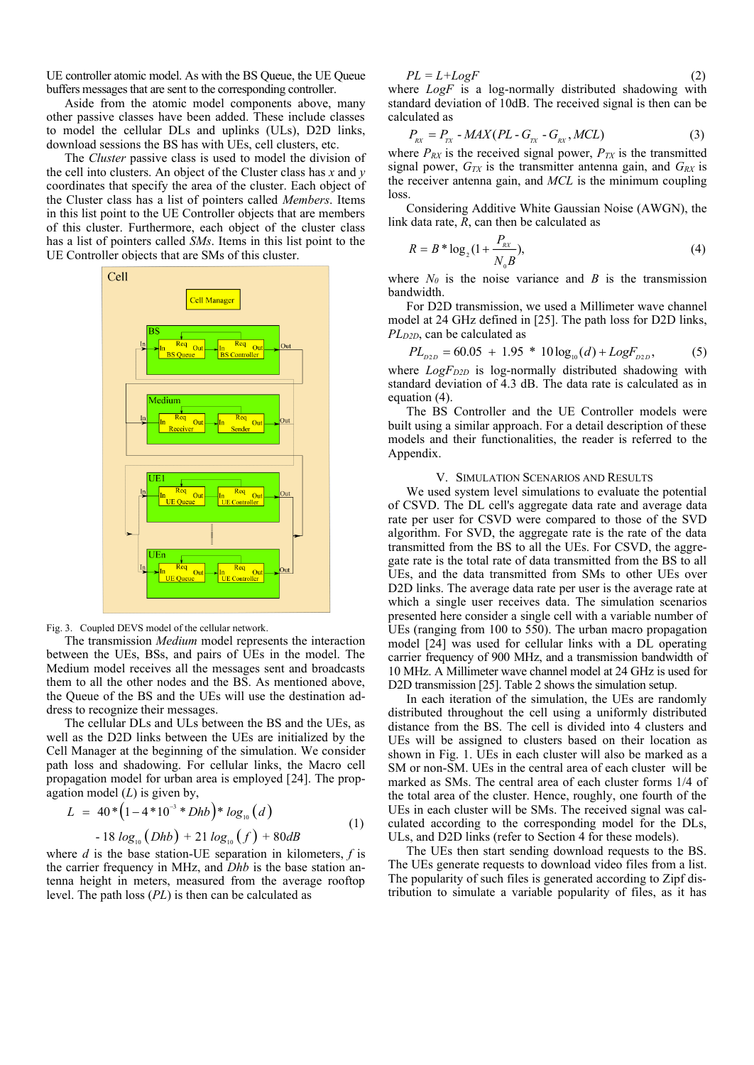UE controller atomic model. As with the BS Queue, the UE Queue buffers messages that are sent to the corresponding controller.

Aside from the atomic model components above, many other passive classes have been added. These include classes to model the cellular DLs and uplinks (ULs), D2D links, download sessions the BS has with UEs, cell clusters, etc.

The *Cluster* passive class is used to model the division of the cell into clusters. An object of the Cluster class has *x* and *y* coordinates that specify the area of the cluster. Each object of the Cluster class has a list of pointers called *Members*. Items in this list point to the UE Controller objects that are members of this cluster. Furthermore, each object of the cluster class has a list of pointers called *SMs*. Items in this list point to the UE Controller objects that are SMs of this cluster.



Fig. 3. Coupled DEVS model of the cellular network.

The transmission *Medium* model represents the interaction between the UEs, BSs, and pairs of UEs in the model. The Medium model receives all the messages sent and broadcasts them to all the other nodes and the BS. As mentioned above, the Queue of the BS and the UEs will use the destination address to recognize their messages.

The cellular DLs and ULs between the BS and the UEs, as well as the D2D links between the UEs are initialized by the Cell Manager at the beginning of the simulation. We consider path loss and shadowing. For cellular links, the Macro cell propagation model for urban area is employed [24]. The propagation model (*L*) is given by,

$$
L = 40 * (1 - 4 * 10^{-3} * Dhb) * log_{10}(d)
$$
  
- 18 log<sub>10</sub> (Dhb) + 21 log<sub>10</sub> (f) + 80dB (1)

where *d* is the base station-UE separation in kilometers, *f* is the carrier frequency in MHz, and *Dhb* is the base station antenna height in meters, measured from the average rooftop level. The path loss (*PL*) is then can be calculated as

$$
PL = L + LogF \tag{2}
$$

where *LogF* is a log-normally distributed shadowing with standard deviation of 10dB. The received signal is then can be calculated as

$$
P_{\scriptscriptstyle{RX}} = P_{\scriptscriptstyle{TX}} - MAX(PL - G_{\scriptscriptstyle{TX}} - G_{\scriptscriptstyle{RX}}, MCL) \tag{3}
$$

where  $P_{RX}$  is the received signal power,  $P_{TX}$  is the transmitted signal power,  $G_{TX}$  is the transmitter antenna gain, and  $G_{RX}$  is the receiver antenna gain, and *MCL* is the minimum coupling loss.

Considering Additive White Gaussian Noise (AWGN), the link data rate, *R*, can then be calculated as

$$
R = B^* \log_2(1 + \frac{P_{\text{RX}}}{N_0 B}),\tag{4}
$$

where  $N_0$  is the noise variance and *B* is the transmission bandwidth.

For D2D transmission, we used a Millimeter wave channel model at 24 GHz defined in [25]. The path loss for D2D links, *PLD2D*, can be calculated as

$$
PL_{p_{2D}} = 60.05 + 1.95 * 10 \log_{10}(d) + LogF_{p_{2D}},
$$
 (5)

where *LogF<sub>D2D</sub>* is log-normally distributed shadowing with standard deviation of 4.3 dB. The data rate is calculated as in equation (4).

The BS Controller and the UE Controller models were built using a similar approach. For a detail description of these models and their functionalities, the reader is referred to the Appendix.

## V. SIMULATION SCENARIOS AND RESULTS

We used system level simulations to evaluate the potential of CSVD. The DL cell's aggregate data rate and average data rate per user for CSVD were compared to those of the SVD algorithm. For SVD, the aggregate rate is the rate of the data transmitted from the BS to all the UEs. For CSVD, the aggregate rate is the total rate of data transmitted from the BS to all UEs, and the data transmitted from SMs to other UEs over D2D links. The average data rate per user is the average rate at which a single user receives data. The simulation scenarios presented here consider a single cell with a variable number of UEs (ranging from 100 to 550). The urban macro propagation model [24] was used for cellular links with a DL operating carrier frequency of 900 MHz, and a transmission bandwidth of 10 MHz. A Millimeter wave channel model at 24 GHz is used for D2D transmission [25]. Table 2 shows the simulation setup.

In each iteration of the simulation, the UEs are randomly distributed throughout the cell using a uniformly distributed distance from the BS. The cell is divided into 4 clusters and UEs will be assigned to clusters based on their location as shown in Fig. 1. UEs in each cluster will also be marked as a SM or non-SM. UEs in the central area of each cluster will be marked as SMs. The central area of each cluster forms 1/4 of the total area of the cluster. Hence, roughly, one fourth of the UEs in each cluster will be SMs. The received signal was calculated according to the corresponding model for the DLs, ULs, and D2D links (refer to Section 4 for these models).

The UEs then start sending download requests to the BS. The UEs generate requests to download video files from a list. The popularity of such files is generated according to Zipf distribution to simulate a variable popularity of files, as it has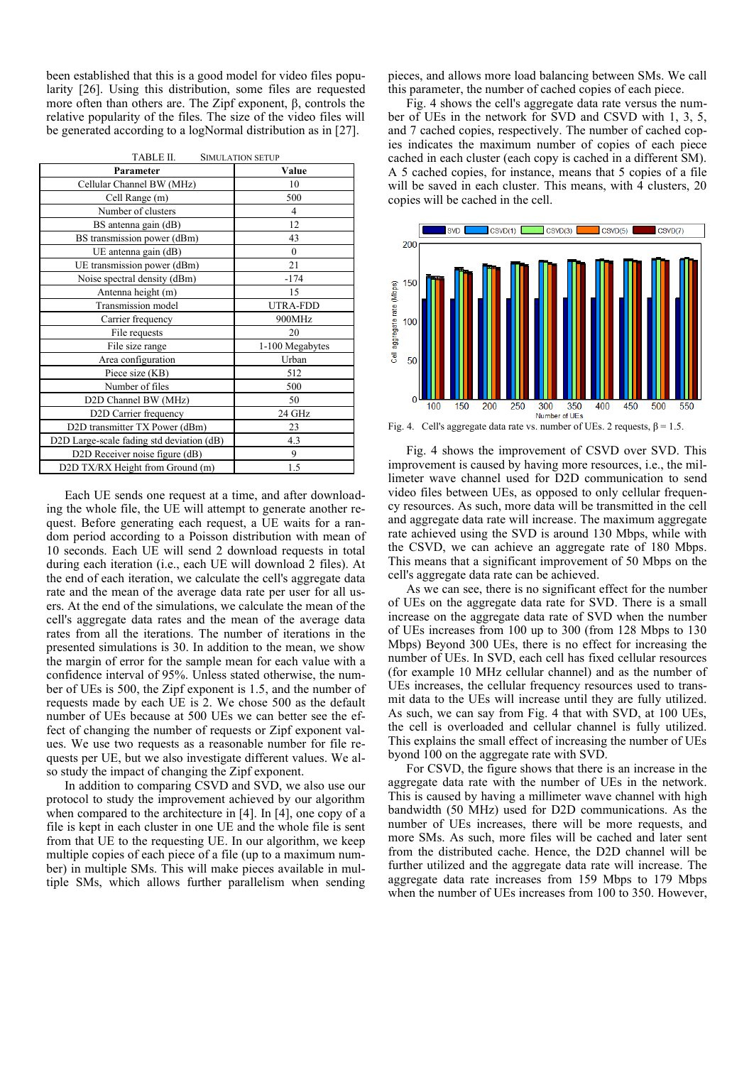been established that this is a good model for video files popularity [26]. Using this distribution, some files are requested more often than others are. The Zipf exponent, β, controls the relative popularity of the files. The size of the video files will be generated according to a logNormal distribution as in [27].

| TABLE II.<br><b>SIMULATION SETUP</b>      |                 |  |
|-------------------------------------------|-----------------|--|
| Parameter                                 | Value           |  |
| Cellular Channel BW (MHz)                 | 10              |  |
| Cell Range (m)                            | 500             |  |
| Number of clusters                        | $\overline{4}$  |  |
| BS antenna gain (dB)                      | 12              |  |
| BS transmission power (dBm)               | 43              |  |
| UE antenna gain (dB)                      | $\mathbf{0}$    |  |
| UE transmission power (dBm)               | 21              |  |
| Noise spectral density (dBm)              | $-174$          |  |
| Antenna height (m)                        | 15              |  |
| Transmission model                        | <b>UTRA-FDD</b> |  |
| Carrier frequency                         | 900MHz          |  |
| File requests                             | 20              |  |
| File size range                           | 1-100 Megabytes |  |
| Area configuration                        | Urban           |  |
| Piece size (KB)                           | 512             |  |
| Number of files                           | 500             |  |
| D2D Channel BW (MHz)                      | 50              |  |
| D2D Carrier frequency                     | 24 GHz          |  |
| D2D transmitter TX Power (dBm)            | 23              |  |
| D2D Large-scale fading std deviation (dB) | 4.3             |  |
| D2D Receiver noise figure (dB)            | 9               |  |
| D2D TX/RX Height from Ground (m)          | 1.5             |  |

Each UE sends one request at a time, and after downloading the whole file, the UE will attempt to generate another request. Before generating each request, a UE waits for a random period according to a Poisson distribution with mean of 10 seconds. Each UE will send 2 download requests in total during each iteration (i.e., each UE will download 2 files). At the end of each iteration, we calculate the cell's aggregate data rate and the mean of the average data rate per user for all users. At the end of the simulations, we calculate the mean of the cell's aggregate data rates and the mean of the average data rates from all the iterations. The number of iterations in the presented simulations is 30. In addition to the mean, we show the margin of error for the sample mean for each value with a confidence interval of 95%. Unless stated otherwise, the number of UEs is 500, the Zipf exponent is 1.5, and the number of requests made by each UE is 2. We chose 500 as the default number of UEs because at 500 UEs we can better see the effect of changing the number of requests or Zipf exponent values. We use two requests as a reasonable number for file requests per UE, but we also investigate different values. We also study the impact of changing the Zipf exponent.

In addition to comparing CSVD and SVD, we also use our protocol to study the improvement achieved by our algorithm when compared to the architecture in [4]. In [4], one copy of a file is kept in each cluster in one UE and the whole file is sent from that UE to the requesting UE. In our algorithm, we keep multiple copies of each piece of a file (up to a maximum number) in multiple SMs. This will make pieces available in multiple SMs, which allows further parallelism when sending

pieces, and allows more load balancing between SMs. We call this parameter, the number of cached copies of each piece.

Fig. 4 shows the cell's aggregate data rate versus the number of UEs in the network for SVD and CSVD with 1, 3, 5, and 7 cached copies, respectively. The number of cached copies indicates the maximum number of copies of each piece cached in each cluster (each copy is cached in a different SM). A 5 cached copies, for instance, means that 5 copies of a file will be saved in each cluster. This means, with 4 clusters, 20 copies will be cached in the cell.



Fig. 4. Cell's aggregate data rate vs. number of UEs. 2 requests,  $β = 1.5$ .

Fig. 4 shows the improvement of CSVD over SVD. This improvement is caused by having more resources, i.e., the millimeter wave channel used for D2D communication to send video files between UEs, as opposed to only cellular frequency resources. As such, more data will be transmitted in the cell and aggregate data rate will increase. The maximum aggregate rate achieved using the SVD is around 130 Mbps, while with the CSVD, we can achieve an aggregate rate of 180 Mbps. This means that a significant improvement of 50 Mbps on the cell's aggregate data rate can be achieved.

As we can see, there is no significant effect for the number of UEs on the aggregate data rate for SVD. There is a small increase on the aggregate data rate of SVD when the number of UEs increases from 100 up to 300 (from 128 Mbps to 130 Mbps) Beyond 300 UEs, there is no effect for increasing the number of UEs. In SVD, each cell has fixed cellular resources (for example 10 MHz cellular channel) and as the number of UEs increases, the cellular frequency resources used to transmit data to the UEs will increase until they are fully utilized. As such, we can say from Fig. 4 that with SVD, at 100 UEs, the cell is overloaded and cellular channel is fully utilized. This explains the small effect of increasing the number of UEs byond 100 on the aggregate rate with SVD.

For CSVD, the figure shows that there is an increase in the aggregate data rate with the number of UEs in the network. This is caused by having a millimeter wave channel with high bandwidth (50 MHz) used for D2D communications. As the number of UEs increases, there will be more requests, and more SMs. As such, more files will be cached and later sent from the distributed cache. Hence, the D2D channel will be further utilized and the aggregate data rate will increase. The aggregate data rate increases from 159 Mbps to 179 Mbps when the number of UEs increases from 100 to 350. However,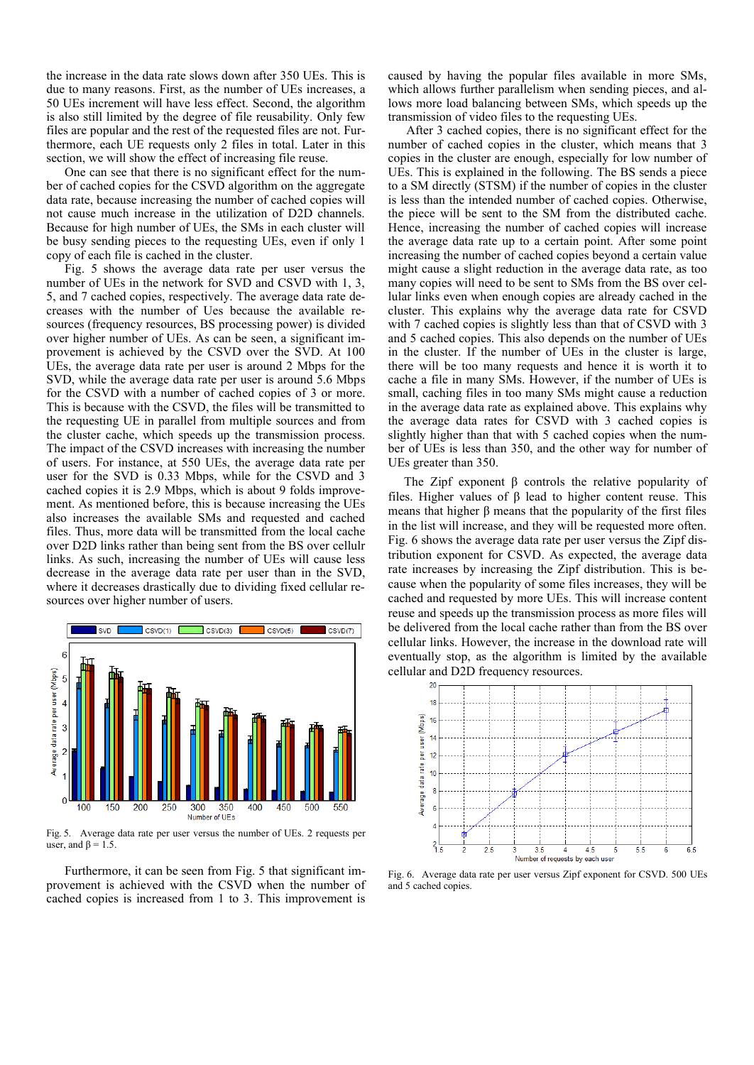the increase in the data rate slows down after 350 UEs. This is due to many reasons. First, as the number of UEs increases, a 50 UEs increment will have less effect. Second, the algorithm is also still limited by the degree of file reusability. Only few files are popular and the rest of the requested files are not. Furthermore, each UE requests only 2 files in total. Later in this section, we will show the effect of increasing file reuse.

One can see that there is no significant effect for the number of cached copies for the CSVD algorithm on the aggregate data rate, because increasing the number of cached copies will not cause much increase in the utilization of D2D channels. Because for high number of UEs, the SMs in each cluster will be busy sending pieces to the requesting UEs, even if only 1 copy of each file is cached in the cluster.

Fig. 5 shows the average data rate per user versus the number of UEs in the network for SVD and CSVD with 1, 3, 5, and 7 cached copies, respectively. The average data rate decreases with the number of Ues because the available resources (frequency resources, BS processing power) is divided over higher number of UEs. As can be seen, a significant improvement is achieved by the CSVD over the SVD. At 100 UEs, the average data rate per user is around 2 Mbps for the SVD, while the average data rate per user is around 5.6 Mbps for the CSVD with a number of cached copies of 3 or more. This is because with the CSVD, the files will be transmitted to the requesting UE in parallel from multiple sources and from the cluster cache, which speeds up the transmission process. The impact of the CSVD increases with increasing the number of users. For instance, at 550 UEs, the average data rate per user for the SVD is 0.33 Mbps, while for the CSVD and 3 cached copies it is 2.9 Mbps, which is about 9 folds improvement. As mentioned before, this is because increasing the UEs also increases the available SMs and requested and cached files. Thus, more data will be transmitted from the local cache over D2D links rather than being sent from the BS over cellulr links. As such, increasing the number of UEs will cause less decrease in the average data rate per user than in the SVD, where it decreases drastically due to dividing fixed cellular resources over higher number of users.



Fig. 5. Average data rate per user versus the number of UEs. 2 requests per user, and  $\beta = 1.5$ .

Furthermore, it can be seen from Fig. 5 that significant improvement is achieved with the CSVD when the number of cached copies is increased from 1 to 3. This improvement is

caused by having the popular files available in more SMs, which allows further parallelism when sending pieces, and allows more load balancing between SMs, which speeds up the transmission of video files to the requesting UEs.

After 3 cached copies, there is no significant effect for the number of cached copies in the cluster, which means that 3 copies in the cluster are enough, especially for low number of UEs. This is explained in the following. The BS sends a piece to a SM directly (STSM) if the number of copies in the cluster is less than the intended number of cached copies. Otherwise, the piece will be sent to the SM from the distributed cache. Hence, increasing the number of cached copies will increase the average data rate up to a certain point. After some point increasing the number of cached copies beyond a certain value might cause a slight reduction in the average data rate, as too many copies will need to be sent to SMs from the BS over cellular links even when enough copies are already cached in the cluster. This explains why the average data rate for CSVD with 7 cached copies is slightly less than that of CSVD with 3 and 5 cached copies. This also depends on the number of UEs in the cluster. If the number of UEs in the cluster is large, there will be too many requests and hence it is worth it to cache a file in many SMs. However, if the number of UEs is small, caching files in too many SMs might cause a reduction in the average data rate as explained above. This explains why the average data rates for CSVD with 3 cached copies is slightly higher than that with 5 cached copies when the number of UEs is less than 350, and the other way for number of UEs greater than 350.

The Zipf exponent  $\beta$  controls the relative popularity of files. Higher values of β lead to higher content reuse. This means that higher β means that the popularity of the first files in the list will increase, and they will be requested more often. Fig. 6 shows the average data rate per user versus the Zipf distribution exponent for CSVD. As expected, the average data rate increases by increasing the Zipf distribution. This is because when the popularity of some files increases, they will be cached and requested by more UEs. This will increase content reuse and speeds up the transmission process as more files will be delivered from the local cache rather than from the BS over cellular links. However, the increase in the download rate will eventually stop, as the algorithm is limited by the available cellular and D2D frequency resources.



Fig. 6. Average data rate per user versus Zipf exponent for CSVD. 500 UEs and 5 cached copies.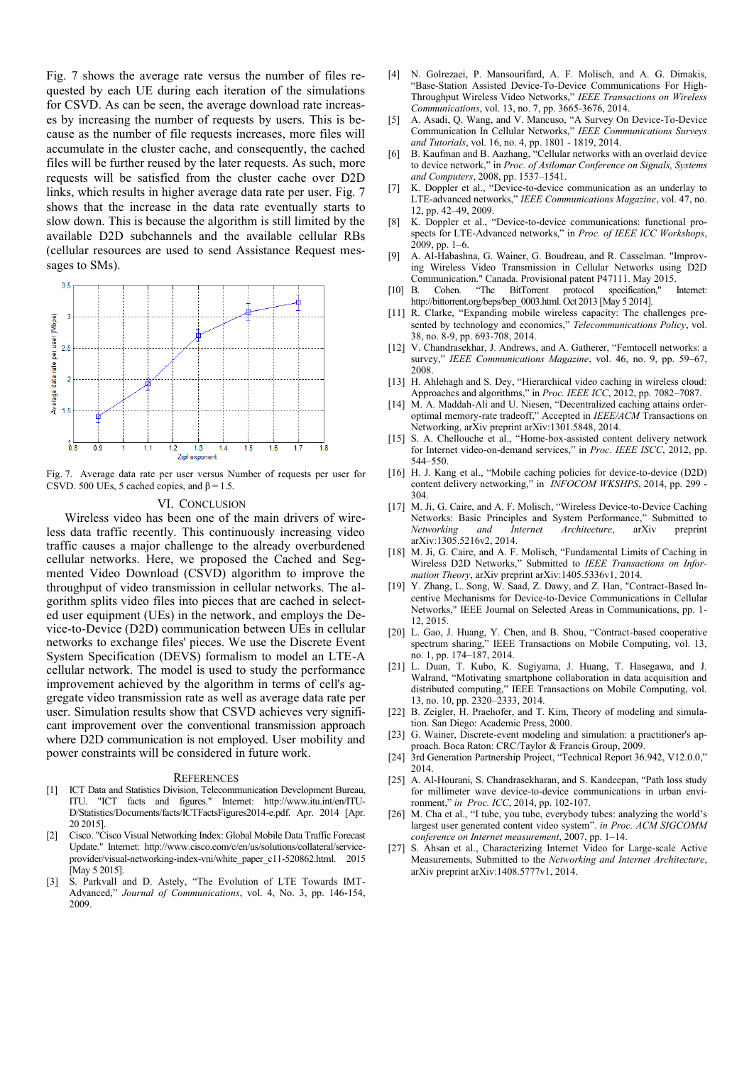Fig. 7 shows the average rate versus the number of files requested by each UE during each iteration of the simulations for CSVD. As can be seen, the average download rate increases by increasing the number of requests by users. This is because as the number of file requests increases, more files will accumulate in the cluster cache, and consequently, the cached files will be further reused by the later requests. As such, more requests will be satisfied from the cluster cache over D2D links, which results in higher average data rate per user. Fig. 7 shows that the increase in the data rate eventually starts to slow down. This is because the algorithm is still limited by the available D2D subchannels and the available cellular RBs (cellular resources are used to send Assistance Request messages to SMs).



Fig. 7. Average data rate per user versus Number of requests per user for CSVD. 500 UEs, 5 cached copies, and  $\beta$  = 1.5.

### VI. CONCLUSION

Wireless video has been one of the main drivers of wireless data traffic recently. This continuously increasing video traffic causes a major challenge to the already overburdened cellular networks. Here, we proposed the Cached and Segmented Video Download (CSVD) algorithm to improve the throughput of video transmission in cellular networks. The algorithm splits video files into pieces that are cached in selected user equipment (UEs) in the network, and employs the Device-to-Device (D2D) communication between UEs in cellular networks to exchange files' pieces. We use the Discrete Event System Specification (DEVS) formalism to model an LTE-A cellular network. The model is used to study the performance improvement achieved by the algorithm in terms of cell's aggregate video transmission rate as well as average data rate per user. Simulation results show that CSVD achieves very significant improvement over the conventional transmission approach where D2D communication is not employed. User mobility and power constraints will be considered in future work.

#### **REFERENCES**

- [1] ICT Data and Statistics Division, Telecommunication Development Bureau, ITU. "ICT facts and figures." Internet: http://www.itu.int/en/ITU-D/Statistics/Documents/facts/ICTFactsFigures2014-e.pdf. Apr. 2014 [Apr. 20 2015].
- [2] Cisco. "Cisco Visual Networking Index: Global Mobile Data Traffic Forecast Update." Internet: http://www.cisco.com/c/en/us/solutions/collateral/serviceprovider/visual-networking-index-vni/white\_paper\_c11-520862.html. 2015 [May 5 2015].
- [3] S. Parkvall and D. Astely, "The Evolution of LTE Towards IMT-Advanced," *Journal of Communications*, vol. 4, No. 3, pp. 146-154, 2009.
- [4] N. Golrezaei, P. Mansourifard, A. F. Molisch, and A. G. Dimakis, "Base-Station Assisted Device-To-Device Communications For High-Throughput Wireless Video Networks," *IEEE Transactions on Wireless Communications*, vol. 13, no. 7, pp. 3665-3676, 2014.
- [5] A. Asadi, Q. Wang, and V. Mancuso, "A Survey On Device-To-Device Communication In Cellular Networks," *IEEE Communications Surveys and Tutorials*, vol. 16, no. 4, pp. 1801 - 1819, 2014.
- [6] B. Kaufman and B. Aazhang, "Cellular networks with an overlaid device to device network," in *Proc. of Asilomar Conference on Signals, Systems and Computers*, 2008, pp. 1537–1541.
- [7] K. Doppler et al., "Device-to-device communication as an underlay to LTE-advanced networks," *IEEE Communications Magazine*, vol. 47, no. 12, pp. 42–49, 2009.
- [8] K. Doppler et al., "Device-to-device communications: functional prospects for LTE-Advanced networks," in *Proc. of IEEE ICC Workshops*, 2009, pp. 1–6.
- [9] A. Al-Habashna, G. Wainer, G. Boudreau, and R. Casselman. "Improving Wireless Video Transmission in Cellular Networks using D2D Communication." Canada. Provisional patent P47111. May 2015<br>B. Cohen. "The BitTorrent protocol specification,"
- [10] B. Cohen. "The BitTorrent protocol specification," Internet: http://bittorrent.org/beps/bep\_0003.html. Oct 2013 [May 5 2014].
- [11] R. Clarke, "Expanding mobile wireless capacity: The challenges presented by technology and economics," *Telecommunications Policy*, vol. 38, no. 8-9, pp. 693-708, 2014.
- [12] V. Chandrasekhar, J. Andrews, and A. Gatherer, "Femtocell networks: a survey," *IEEE Communications Magazine*, vol. 46, no. 9, pp. 59–67, 2008.
- [13] H. Ahlehagh and S. Dey, "Hierarchical video caching in wireless cloud: Approaches and algorithms," in *Proc. IEEE ICC*, 2012, pp. 7082–7087.
- [14] M. A. Maddah-Ali and U. Niesen, "Decentralized caching attains orderoptimal memory-rate tradeoff," Accepted in *IEEE/ACM* Transactions on Networking, arXiv preprint arXiv:1301.5848, 2014.
- [15] S. A. Chellouche et al., "Home-box-assisted content delivery network for Internet video-on-demand services," in *Proc. IEEE ISCC*, 2012, pp. 544–550.
- [16] H. J. Kang et al., "Mobile caching policies for device-to-device (D2D) content delivery networking," in *INFOCOM WKSHPS*, 2014, pp. 299 - 304.
- [17] M. Ji, G. Caire, and A. F. Molisch, "Wireless Device-to-Device Caching Networks: Basic Principles and System Performance," Submitted to *Networking and Internet Architecture*, arXiv preprint arXiv:1305.5216v2, 2014.
- [18] M. Ji, G. Caire, and A. F. Molisch, "Fundamental Limits of Caching in Wireless D2D Networks," Submitted to *IEEE Transactions on Information Theory*, arXiv preprint arXiv:1405.5336v1, 2014.
- [19] Y. Zhang, L. Song, W. Saad, Z. Dawy, and Z. Han, "Contract-Based Incentive Mechanisms for Device-to-Device Communications in Cellular Networks," IEEE Journal on Selected Areas in Communications, pp. 1- 12, 2015.
- [20] L. Gao, J. Huang, Y. Chen, and B. Shou, "Contract-based cooperative spectrum sharing," IEEE Transactions on Mobile Computing, vol. 13, no. 1, pp. 174–187, 2014.
- [21] L. Duan, T. Kubo, K. Sugiyama, J. Huang, T. Hasegawa, and J. Walrand, "Motivating smartphone collaboration in data acquisition and distributed computing," IEEE Transactions on Mobile Computing, vol. 13, no. 10, pp. 2320–2333, 2014.
- [22] B. Zeigler, H. Praehofer, and T. Kim, Theory of modeling and simulation. San Diego: Academic Press, 2000.
- [23] G. Wainer, Discrete-event modeling and simulation: a practitioner's approach. Boca Raton: CRC/Taylor & Francis Group, 2009.
- [24] 3rd Generation Partnership Project, "Technical Report 36.942, V12.0.0," 2014.
- [25] A. Al-Hourani, S. Chandrasekharan, and S. Kandeepan, "Path loss study for millimeter wave device-to-device communications in urban environment," *in Proc. ICC*, 2014, pp. 102-107.
- [26] M. Cha et al., "I tube, you tube, everybody tubes: analyzing the world's largest user generated content video system". *in Proc. ACM SIGCOMM conference on Internet measurement*, 2007, pp. 1–14.
- [27] S. Ahsan et al., Characterizing Internet Video for Large-scale Active Measurements, Submitted to the *Networking and Internet Architecture*, arXiv preprint arXiv:1408.5777v1, 2014.